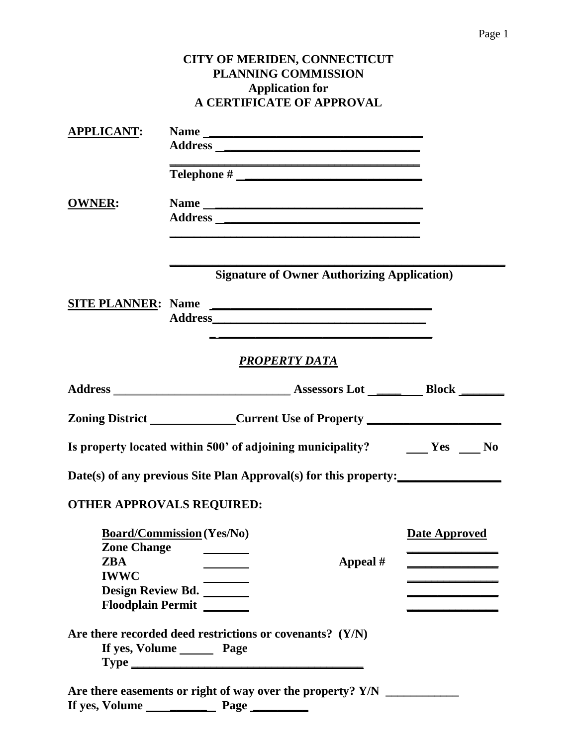|                                                                                 |  | <b>PLANNING COMMISSION</b><br><b>Application for</b> | CITY OF MERIDEN, CONNECTICUT<br><b>A CERTIFICATE OF APPROVAL</b> |                                                                                  |
|---------------------------------------------------------------------------------|--|------------------------------------------------------|------------------------------------------------------------------|----------------------------------------------------------------------------------|
| <b>APPLICANT:</b>                                                               |  |                                                      |                                                                  |                                                                                  |
|                                                                                 |  |                                                      |                                                                  |                                                                                  |
|                                                                                 |  |                                                      |                                                                  |                                                                                  |
| <b>OWNER:</b>                                                                   |  |                                                      | Name                                                             |                                                                                  |
|                                                                                 |  |                                                      |                                                                  |                                                                                  |
|                                                                                 |  |                                                      |                                                                  |                                                                                  |
|                                                                                 |  |                                                      | <b>Signature of Owner Authorizing Application</b> )              |                                                                                  |
|                                                                                 |  |                                                      | SITE PLANNER: Name                                               |                                                                                  |
|                                                                                 |  |                                                      |                                                                  |                                                                                  |
|                                                                                 |  | <u>PROPERTY DATA</u>                                 |                                                                  |                                                                                  |
|                                                                                 |  |                                                      |                                                                  |                                                                                  |
|                                                                                 |  |                                                      |                                                                  | Zoning District ______________Current Use of Property __________________________ |
|                                                                                 |  |                                                      |                                                                  | Is property located within 500' of adjoining municipality? The Mess Theorem No   |
|                                                                                 |  |                                                      |                                                                  | Date(s) of any previous Site Plan Approval(s) for this property:                 |
| <b>OTHER APPROVALS REQUIRED:</b>                                                |  |                                                      |                                                                  |                                                                                  |
| <b>Board/Commission (Yes/No)</b>                                                |  |                                                      |                                                                  | Date Approved                                                                    |
| <b>Zone Change</b><br><b>ZBA</b>                                                |  | <b>Contract Contract Contract Contract</b>           | Appeal #                                                         |                                                                                  |
| <b>IWWC</b>                                                                     |  | <u> The Communication</u>                            |                                                                  |                                                                                  |
| Design Review Bd. _______<br>Floodplain Permit                                  |  |                                                      |                                                                  |                                                                                  |
| Are there recorded deed restrictions or covenants? (Y/N)<br>If yes, Volume Page |  |                                                      |                                                                  |                                                                                  |
|                                                                                 |  |                                                      |                                                                  |                                                                                  |
|                                                                                 |  |                                                      |                                                                  |                                                                                  |
|                                                                                 |  |                                                      |                                                                  |                                                                                  |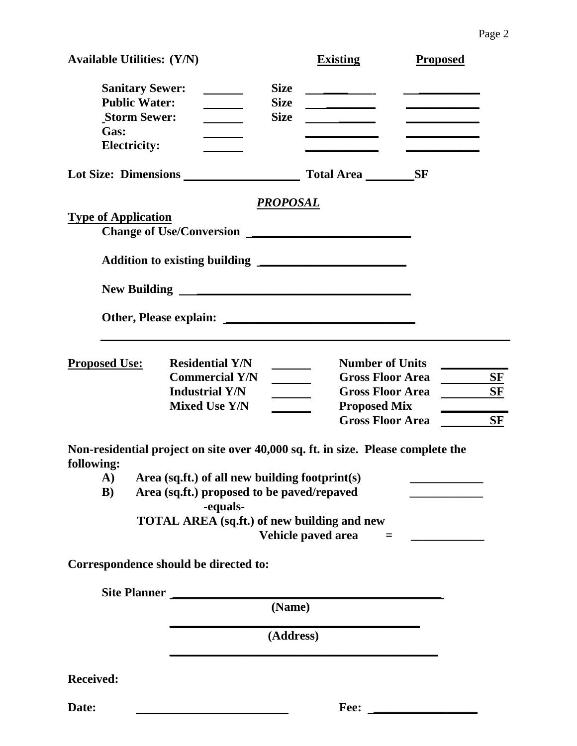| <b>Available Utilities: (Y/N)</b>                                                                    |                                           | <b>Existing</b>                                                                                                                               | <b>Proposed</b> |  |  |  |  |
|------------------------------------------------------------------------------------------------------|-------------------------------------------|-----------------------------------------------------------------------------------------------------------------------------------------------|-----------------|--|--|--|--|
| <b>Sanitary Sewer:</b><br><b>Public Water:</b><br><b>Storm Sewer:</b><br>Gas:<br><b>Electricity:</b> | <b>Size</b><br><b>Size</b><br><b>Size</b> | <u> 1980 - Jan Alexandro III, populație de la provincia de la provincia de la provincia de la provincia de la pro</u><br>____________________ |                 |  |  |  |  |
| Lot Size: Dimensions                                                                                 |                                           | Total Area ___________SF                                                                                                                      |                 |  |  |  |  |
| <b>Type of Application</b>                                                                           | <u>PROPOSAL</u>                           |                                                                                                                                               |                 |  |  |  |  |
|                                                                                                      |                                           |                                                                                                                                               |                 |  |  |  |  |
|                                                                                                      |                                           |                                                                                                                                               |                 |  |  |  |  |
|                                                                                                      |                                           |                                                                                                                                               |                 |  |  |  |  |
| <b>Residential Y/N</b><br><b>Proposed Use:</b>                                                       |                                           | <b>Number of Units</b>                                                                                                                        |                 |  |  |  |  |
| <b>Commercial Y/N</b>                                                                                |                                           | <b>Gross Floor Area</b>                                                                                                                       | $S_F$           |  |  |  |  |
| <b>Industrial Y/N</b>                                                                                |                                           | <b>Gross Floor Area</b>                                                                                                                       | <b>SF</b>       |  |  |  |  |
| <b>Mixed Use Y/N</b>                                                                                 |                                           | <b>Proposed Mix</b><br><b>Gross Floor Area</b>                                                                                                | <b>SF</b>       |  |  |  |  |
| Non-residential project on site over 40,000 sq. ft. in size. Please complete the<br>following:       |                                           |                                                                                                                                               |                 |  |  |  |  |
| A)<br>Area (sq.ft.) of all new building footprint(s)                                                 |                                           |                                                                                                                                               |                 |  |  |  |  |
| Area (sq.ft.) proposed to be paved/repaved<br>$\bf{B})$<br>-equals-                                  |                                           |                                                                                                                                               |                 |  |  |  |  |
| TOTAL AREA (sq.ft.) of new building and new                                                          |                                           | Vehicle paved area<br>$\qquad \qquad =$                                                                                                       |                 |  |  |  |  |
| Correspondence should be directed to:                                                                |                                           |                                                                                                                                               |                 |  |  |  |  |
| Site Planner                                                                                         |                                           |                                                                                                                                               |                 |  |  |  |  |
|                                                                                                      | (Name)                                    |                                                                                                                                               |                 |  |  |  |  |
|                                                                                                      | (Address)                                 |                                                                                                                                               |                 |  |  |  |  |
| <b>Received:</b>                                                                                     |                                           |                                                                                                                                               |                 |  |  |  |  |

**Date: Fee: \_\_\_\_\_\_\_\_\_\_\_\_\_\_\_\_\_**